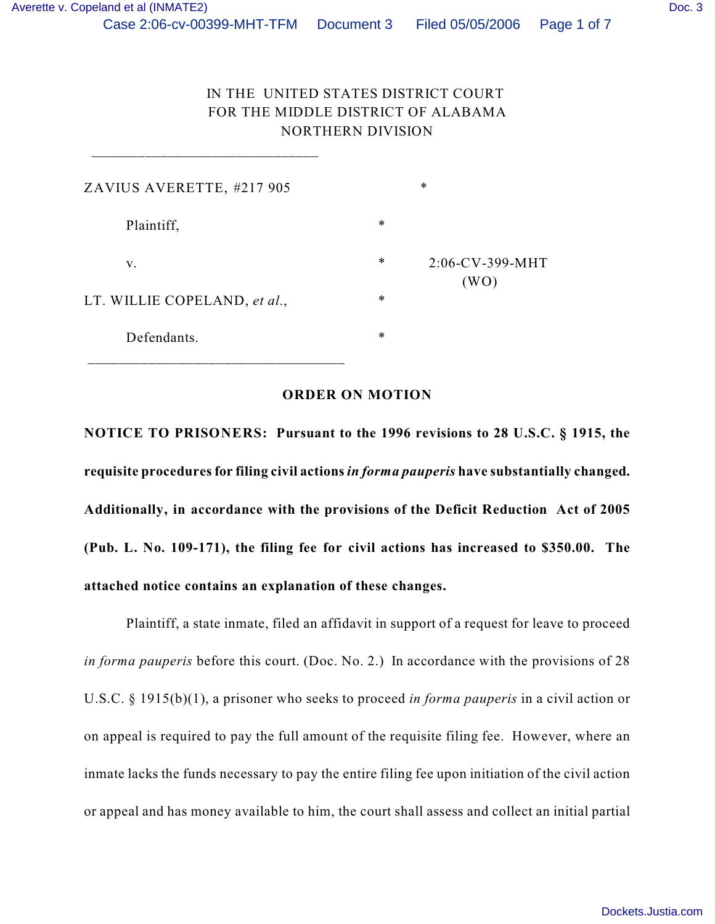## IN THE UNITED STATES DISTRICT COURT FOR THE MIDDLE DISTRICT OF ALABAMA NORTHERN DIVISION

| ZAVIUS AVERETTE, #217 905    |        | ∗                  |
|------------------------------|--------|--------------------|
| Plaintiff,                   | $\ast$ |                    |
| V.                           | *      | $2:06$ -CV-399-MHT |
| LT. WILLIE COPELAND, et al., | $\ast$ | (WO)               |
| Defendants.                  | $\ast$ |                    |
|                              |        |                    |

\_\_\_\_\_\_\_\_\_\_\_\_\_\_\_\_\_\_\_\_\_\_\_\_\_\_\_\_\_\_

## **ORDER ON MOTION**

**NOTICE TO PRISONERS: Pursuant to the 1996 revisions to 28 U.S.C. § 1915, the requisite procedures for filing civil actions** *in forma pauperis* **have substantially changed. Additionally, in accordance with the provisions of the Deficit Reduction Act of 2005 (Pub. L. No. 109-171), the filing fee for civil actions has increased to \$350.00. The attached notice contains an explanation of these changes.**

Plaintiff, a state inmate, filed an affidavit in support of a request for leave to proceed *in forma pauperis* before this court. (Doc. No. 2.) In accordance with the provisions of 28 U.S.C. § 1915(b)(1), a prisoner who seeks to proceed *in forma pauperis* in a civil action or on appeal is required to pay the full amount of the requisite filing fee. However, where an inmate lacks the funds necessary to pay the entire filing fee upon initiation of the civil action or appeal and has money available to him, the court shall assess and collect an initial partial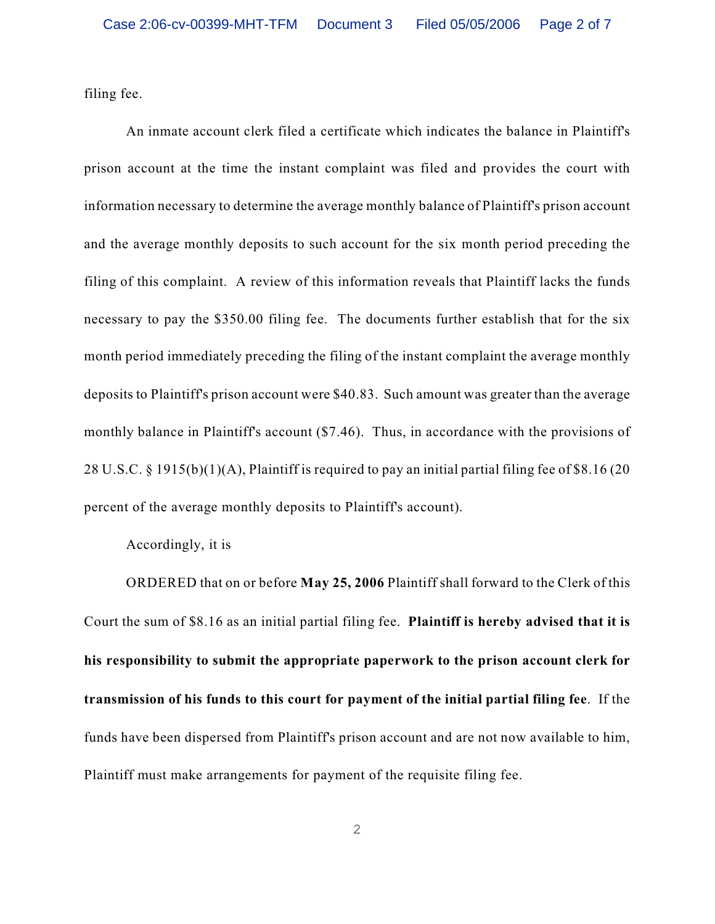filing fee.

An inmate account clerk filed a certificate which indicates the balance in Plaintiff's prison account at the time the instant complaint was filed and provides the court with information necessary to determine the average monthly balance of Plaintiff's prison account and the average monthly deposits to such account for the six month period preceding the filing of this complaint. A review of this information reveals that Plaintiff lacks the funds necessary to pay the \$350.00 filing fee. The documents further establish that for the six month period immediately preceding the filing of the instant complaint the average monthly deposits to Plaintiff's prison account were \$40.83. Such amount was greater than the average monthly balance in Plaintiff's account (\$7.46). Thus, in accordance with the provisions of 28 U.S.C. § 1915(b)(1)(A), Plaintiff is required to pay an initial partial filing fee of \$8.16 (20 percent of the average monthly deposits to Plaintiff's account).

Accordingly, it is

ORDERED that on or before **May 25, 2006** Plaintiff shall forward to the Clerk of this Court the sum of \$8.16 as an initial partial filing fee. **Plaintiff is hereby advised that it is his responsibility to submit the appropriate paperwork to the prison account clerk for transmission of his funds to this court for payment of the initial partial filing fee**. If the funds have been dispersed from Plaintiff's prison account and are not now available to him, Plaintiff must make arrangements for payment of the requisite filing fee.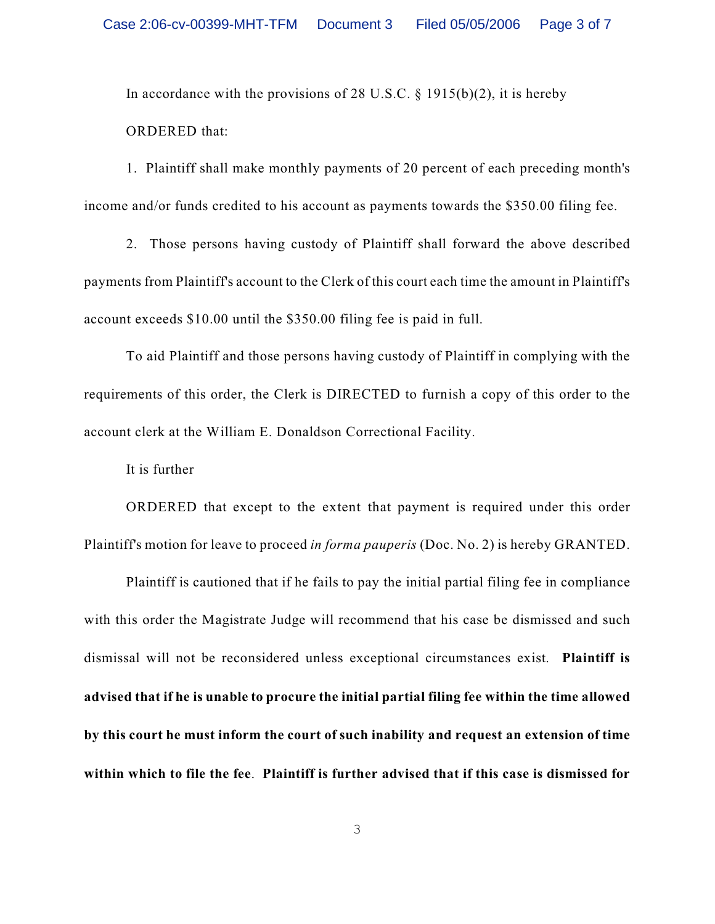In accordance with the provisions of 28 U.S.C.  $\S$  1915(b)(2), it is hereby ORDERED that:

1. Plaintiff shall make monthly payments of 20 percent of each preceding month's income and/or funds credited to his account as payments towards the \$350.00 filing fee.

2. Those persons having custody of Plaintiff shall forward the above described payments from Plaintiff's account to the Clerk of this court each time the amount in Plaintiff's account exceeds \$10.00 until the \$350.00 filing fee is paid in full.

To aid Plaintiff and those persons having custody of Plaintiff in complying with the requirements of this order, the Clerk is DIRECTED to furnish a copy of this order to the account clerk at the William E. Donaldson Correctional Facility.

It is further

ORDERED that except to the extent that payment is required under this order Plaintiff's motion for leave to proceed *in forma pauperis* (Doc. No. 2) is hereby GRANTED.

Plaintiff is cautioned that if he fails to pay the initial partial filing fee in compliance with this order the Magistrate Judge will recommend that his case be dismissed and such dismissal will not be reconsidered unless exceptional circumstances exist. **Plaintiff is advised that if he is unable to procure the initial partial filing fee within the time allowed by this court he must inform the court of such inability and request an extension of time within which to file the fee**. **Plaintiff is further advised that if this case is dismissed for**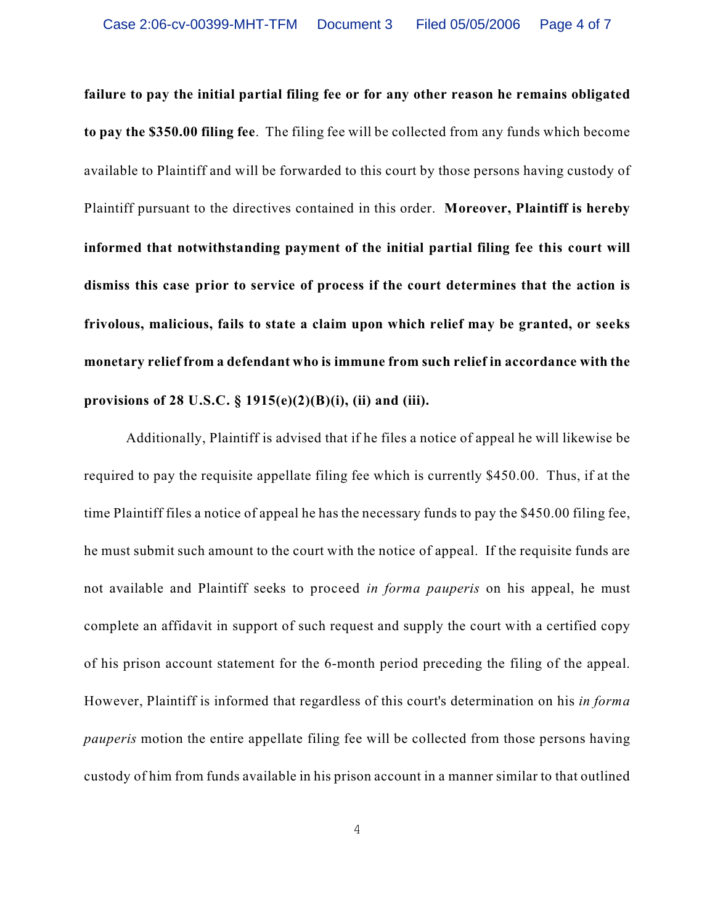**failure to pay the initial partial filing fee or for any other reason he remains obligated to pay the \$350.00 filing fee**. The filing fee will be collected from any funds which become available to Plaintiff and will be forwarded to this court by those persons having custody of Plaintiff pursuant to the directives contained in this order. **Moreover, Plaintiff is hereby informed that notwithstanding payment of the initial partial filing fee this court will dismiss this case prior to service of process if the court determines that the action is frivolous, malicious, fails to state a claim upon which relief may be granted, or seeks monetary relief from a defendant who is immune from such relief in accordance with the provisions of 28 U.S.C. § 1915(e)(2)(B)(i), (ii) and (iii).**

Additionally, Plaintiff is advised that if he files a notice of appeal he will likewise be required to pay the requisite appellate filing fee which is currently \$450.00. Thus, if at the time Plaintiff files a notice of appeal he has the necessary funds to pay the \$450.00 filing fee, he must submit such amount to the court with the notice of appeal. If the requisite funds are not available and Plaintiff seeks to proceed *in forma pauperis* on his appeal, he must complete an affidavit in support of such request and supply the court with a certified copy of his prison account statement for the 6-month period preceding the filing of the appeal. However, Plaintiff is informed that regardless of this court's determination on his *in forma pauperis* motion the entire appellate filing fee will be collected from those persons having custody of him from funds available in his prison account in a manner similar to that outlined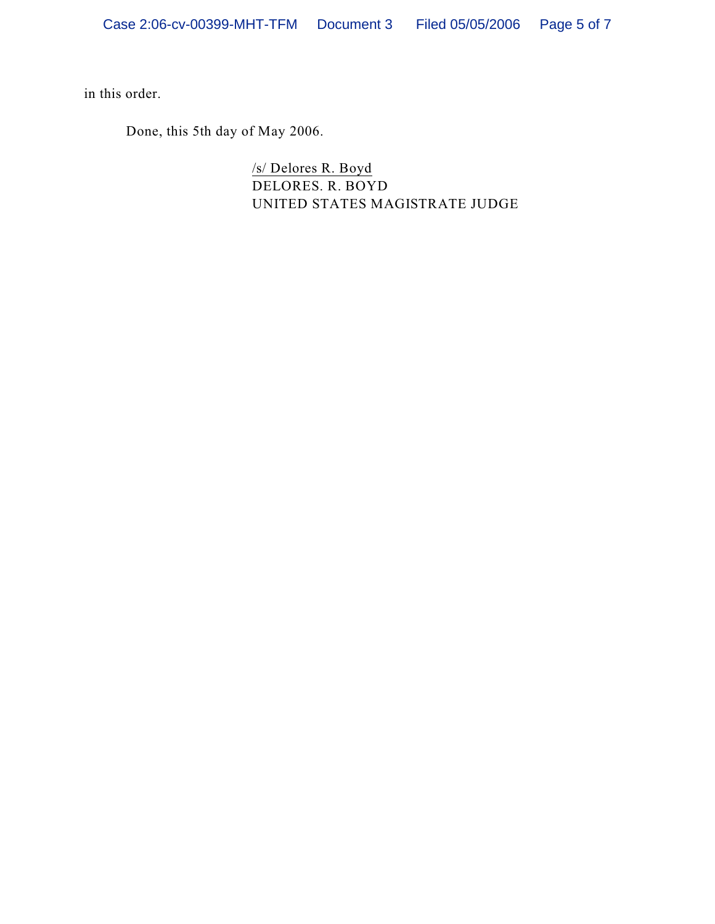in this order.

Done, this 5th day of May 2006.

/s/ Delores R. Boyd DELORES. R. BOYD UNITED STATES MAGISTRATE JUDGE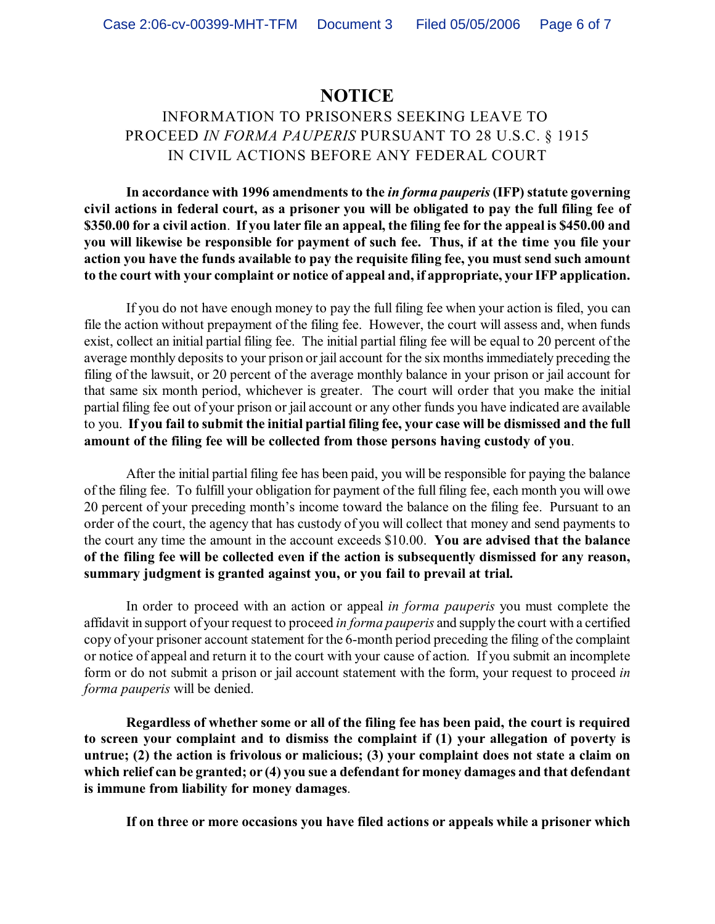## **NOTICE**

## INFORMATION TO PRISONERS SEEKING LEAVE TO PROCEED *IN FORMA PAUPERIS* PURSUANT TO 28 U.S.C. § 1915 IN CIVIL ACTIONS BEFORE ANY FEDERAL COURT

**In accordance with 1996 amendments to the** *in forma pauperis* **(IFP) statute governing civil actions in federal court, as a prisoner you will be obligated to pay the full filing fee of \$350.00 for a civil action**. **If you later file an appeal, the filing fee for the appeal is \$450.00 and you will likewise be responsible for payment of such fee. Thus, if at the time you file your action you have the funds available to pay the requisite filing fee, you must send such amount to the court with your complaint or notice of appeal and, if appropriate, your IFP application.**

If you do not have enough money to pay the full filing fee when your action is filed, you can file the action without prepayment of the filing fee. However, the court will assess and, when funds exist, collect an initial partial filing fee. The initial partial filing fee will be equal to 20 percent of the average monthly deposits to your prison or jail account for the six months immediately preceding the filing of the lawsuit, or 20 percent of the average monthly balance in your prison or jail account for that same six month period, whichever is greater. The court will order that you make the initial partial filing fee out of your prison or jail account or any other funds you have indicated are available to you. **If you fail to submit the initial partial filing fee, your case will be dismissed and the full amount of the filing fee will be collected from those persons having custody of you**.

After the initial partial filing fee has been paid, you will be responsible for paying the balance of the filing fee. To fulfill your obligation for payment of the full filing fee, each month you will owe 20 percent of your preceding month's income toward the balance on the filing fee. Pursuant to an order of the court, the agency that has custody of you will collect that money and send payments to the court any time the amount in the account exceeds \$10.00. **You are advised that the balance of the filing fee will be collected even if the action is subsequently dismissed for any reason, summary judgment is granted against you, or you fail to prevail at trial.** 

In order to proceed with an action or appeal *in forma pauperis* you must complete the affidavit in support of your request to proceed *in forma pauperis* and supply the court with a certified copy of your prisoner account statement for the 6-month period preceding the filing of the complaint or notice of appeal and return it to the court with your cause of action. If you submit an incomplete form or do not submit a prison or jail account statement with the form, your request to proceed *in forma pauperis* will be denied.

**Regardless of whether some or all of the filing fee has been paid, the court is required to screen your complaint and to dismiss the complaint if (1) your allegation of poverty is untrue; (2) the action is frivolous or malicious; (3) your complaint does not state a claim on which relief can be granted; or (4) you sue a defendant for money damages and that defendant is immune from liability for money damages**.

**If on three or more occasions you have filed actions or appeals while a prisoner which**